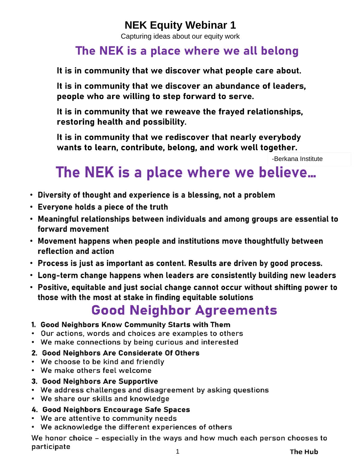## **NEK Equity Webinar 1**

Capturing ideas about our equity work

## The NEK is a place where we all belong

It is in community that we discover what people care about.

It is in community that we discover an abundance of leaders, people who are willing to step forward to serve.

It is in community that we reweave the frayed relationships, restoring health and possibility.

It is in community that we rediscover that nearly everybody wants to learn, contribute, belong, and work well together.

-Berkana Institute

# The NEK is a place where we believe...

- Diversity of thought and experience is a blessing, not a problem
- Everyone holds a piece of the truth
- . Meaningful relationships between individuals and among groups are essential to forward movement
- Movement happens when people and institutions move thoughtfully between reflection and action
- Process is just as important as content. Results are driven by good process.
- Long-term change happens when leaders are consistently building new leaders
- Positive, equitable and just social change cannot occur without shifting power to those with the most at stake in finding equitable solutions

# **Good Neighbor Agreements**

- 1. Good Neighbors Know Community Starts with Them
- Our actions, words and choices are examples to others
- We make connections by being curious and interested

## 2. Good Neighbors Are Considerate Of Others

- We choose to be kind and friendly
- We make others feel welcome
- 3. Good Neighbors Are Supportive
- We address challenges and disagreement by asking questions
- We share our skills and knowledge

## 4. Good Neighbors Encourage Safe Spaces

- We are attentive to community needs
- We acknowledge the different experiences of others

We honor choice - especially in the ways and how much each person chooses to participate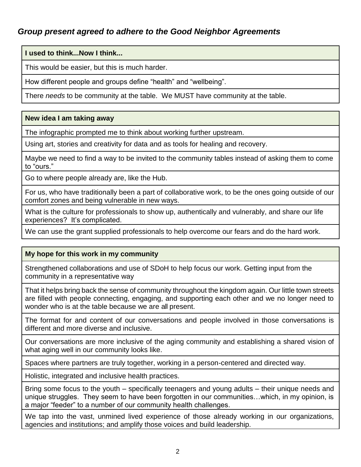### *Group present agreed to adhere to the Good Neighbor Agreements*

**I used to think...Now I think...**

This would be easier, but this is much harder.

How different people and groups define "health" and "wellbeing".

There *needs* to be community at the table. We MUST have community at the table.

#### **New idea I am taking away**

The infographic prompted me to think about working further upstream.

Using art, stories and creativity for data and as tools for healing and recovery.

Maybe we need to find a way to be invited to the community tables instead of asking them to come to "ours."

Go to where people already are, like the Hub.

For us, who have traditionally been a part of collaborative work, to be the ones going outside of our comfort zones and being vulnerable in new ways.

What is the culture for professionals to show up, authentically and vulnerably, and share our life experiences? It's complicated.

We can use the grant supplied professionals to help overcome our fears and do the hard work.

#### **My hope for this work in my community**

Strengthened collaborations and use of SDoH to help focus our work. Getting input from the community in a representative way

That it helps bring back the sense of community throughout the kingdom again. Our little town streets are filled with people connecting, engaging, and supporting each other and we no longer need to wonder who is at the table because we are all present.

The format for and content of our conversations and people involved in those conversations is different and more diverse and inclusive.

Our conversations are more inclusive of the aging community and establishing a shared vision of what aging well in our community looks like.

Spaces where partners are truly together, working in a person-centered and directed way.

Holistic, integrated and inclusive health practices.

Bring some focus to the youth – specifically teenagers and young adults – their unique needs and unique struggles. They seem to have been forgotten in our communities…which, in my opinion, is a major "feeder" to a number of our community health challenges.

We tap into the vast, unmined lived experience of those already working in our organizations, agencies and institutions; and amplify those voices and build leadership.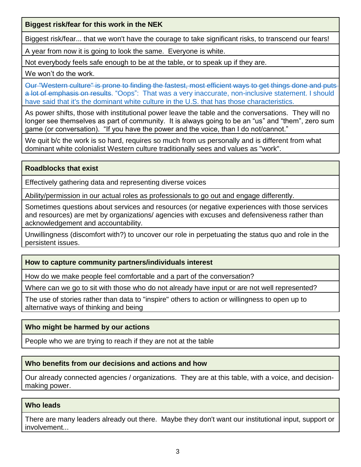**Biggest risk/fear for this work in the NEK**

Biggest risk/fear... that we won't have the courage to take significant risks, to transcend our fears!

A year from now it is going to look the same. Everyone is white.

Not everybody feels safe enough to be at the table, or to speak up if they are.

We won't do the work.

Our "Western culture" is prone to finding the fastest, most efficient ways to get things done and puts a lot of emphasis on results. "Oops": That was a very inaccurate, non-inclusive statement. I should have said that it's the dominant white culture in the U.S. that has those characteristics.

As power shifts, those with institutional power leave the table and the conversations. They will no longer see themselves as part of community. It is always going to be an "us" and "them", zero sum game (or conversation). "If you have the power and the voice, than I do not/cannot."

We quit b/c the work is so hard, requires so much from us personally and is different from what dominant white colonialist Western culture traditionally sees and values as "work".

#### **Roadblocks that exist**

Effectively gathering data and representing diverse voices

Ability/permission in our actual roles as professionals to go out and engage differently.

Sometimes questions about services and resources (or negative experiences with those services and resources) are met by organizations/ agencies with excuses and defensiveness rather than acknowledgement and accountability.

Unwillingness (discomfort with?) to uncover our role in perpetuating the status quo and role in the persistent issues.

#### **How to capture community partners/individuals interest**

How do we make people feel comfortable and a part of the conversation?

Where can we go to sit with those who do not already have input or are not well represented?

The use of stories rather than data to "inspire" others to action or willingness to open up to alternative ways of thinking and being

#### **Who might be harmed by our actions**

People who we are trying to reach if they are not at the table

#### **Who benefits from our decisions and actions and how**

Our already connected agencies / organizations. They are at this table, with a voice, and decisionmaking power.

#### **Who leads**

There are many leaders already out there. Maybe they don't want our institutional input, support or involvement...